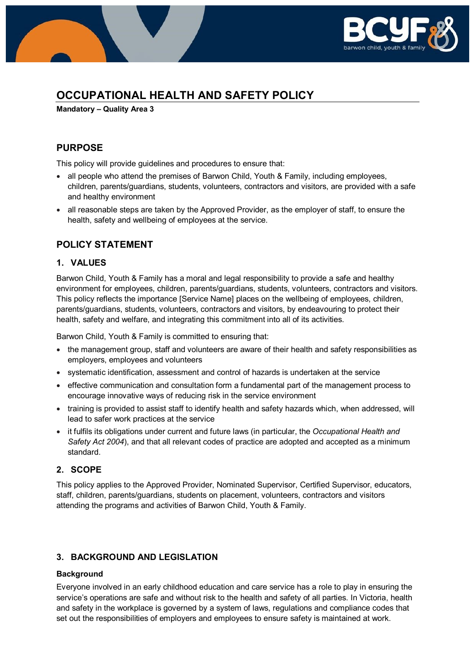

# **OCCUPATIONAL HEALTH AND SAFETY POLICY**

**Mandatory – Quality Area 3**

## **PURPOSE**

This policy will provide guidelines and procedures to ensure that:

- all people who attend the premises of Barwon Child, Youth & Family, including employees, children, parents/guardians, students, volunteers, contractors and visitors, are provided with a safe and healthy environment
- all reasonable steps are taken by the Approved Provider, as the employer of staff, to ensure the health, safety and wellbeing of employees at the service.

### **POLICY STATEMENT**

#### **1. VALUES**

Barwon Child, Youth & Family has a moral and legal responsibility to provide a safe and healthy environment for employees, children, parents/guardians, students, volunteers, contractors and visitors. This policy reflects the importance [Service Name] places on the wellbeing of employees, children, parents/guardians, students, volunteers, contractors and visitors, by endeavouring to protect their health, safety and welfare, and integrating this commitment into all of its activities.

Barwon Child, Youth & Family is committed to ensuring that:

- the management group, staff and volunteers are aware of their health and safety responsibilities as employers, employees and volunteers
- systematic identification, assessment and control of hazards is undertaken at the service
- effective communication and consultation form a fundamental part of the management process to encourage innovative ways of reducing risk in the service environment
- training is provided to assist staff to identify health and safety hazards which, when addressed, will lead to safer work practices at the service
- it fulfils its obligations under current and future laws (in particular, the *Occupational Health and Safety Act 2004*), and that all relevant codes of practice are adopted and accepted as a minimum standard.

### **2. SCOPE**

This policy applies to the Approved Provider, Nominated Supervisor, Certified Supervisor, educators, staff, children, parents/guardians, students on placement, volunteers, contractors and visitors attending the programs and activities of Barwon Child, Youth & Family.

### **3. BACKGROUND AND LEGISLATION**

#### **Background**

Everyone involved in an early childhood education and care service has a role to play in ensuring the service's operations are safe and without risk to the health and safety of all parties. In Victoria, health and safety in the workplace is governed by a system of laws, regulations and compliance codes that set out the responsibilities of employers and employees to ensure safety is maintained at work.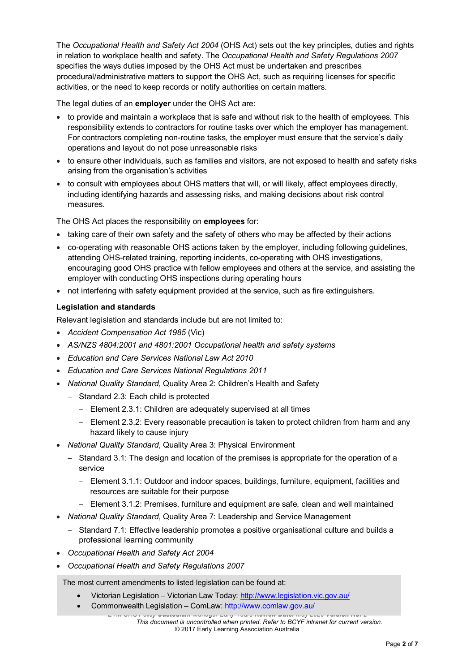The *Occupational Health and Safety Act 2004* (OHS Act) sets out the key principles, duties and rights in relation to workplace health and safety. The *Occupational Health and Safety Regulations 2007* specifies the ways duties imposed by the OHS Act must be undertaken and prescribes procedural/administrative matters to support the OHS Act, such as requiring licenses for specific activities, or the need to keep records or notify authorities on certain matters.

The legal duties of an **employer** under the OHS Act are:

- to provide and maintain a workplace that is safe and without risk to the health of employees. This responsibility extends to contractors for routine tasks over which the employer has management. For contractors completing non-routine tasks, the employer must ensure that the service's daily operations and layout do not pose unreasonable risks
- to ensure other individuals, such as families and visitors, are not exposed to health and safety risks arising from the organisation's activities
- to consult with employees about OHS matters that will, or will likely, affect employees directly, including identifying hazards and assessing risks, and making decisions about risk control measures.

The OHS Act places the responsibility on **employees** for:

- taking care of their own safety and the safety of others who may be affected by their actions
- co-operating with reasonable OHS actions taken by the employer, including following guidelines, attending OHS-related training, reporting incidents, co-operating with OHS investigations, encouraging good OHS practice with fellow employees and others at the service, and assisting the employer with conducting OHS inspections during operating hours
- not interfering with safety equipment provided at the service, such as fire extinguishers.

#### **Legislation and standards**

Relevant legislation and standards include but are not limited to:

- *Accident Compensation Act 1985* (Vic)
- *AS/NZS 4804:2001 and 4801:2001 Occupational health and safety systems*
- *Education and Care Services National Law Act 2010*
- *Education and Care Services National Regulations 2011*
- *National Quality Standard*, Quality Area 2: Children's Health and Safety
	- − Standard 2.3: Each child is protected
		- − Element 2.3.1: Children are adequately supervised at all times
		- − Element 2.3.2: Every reasonable precaution is taken to protect children from harm and any hazard likely to cause injury
- *National Quality Standard*, Quality Area 3: Physical Environment
	- − Standard 3.1: The design and location of the premises is appropriate for the operation of a service
		- − Element 3.1.1: Outdoor and indoor spaces, buildings, furniture, equipment, facilities and resources are suitable for their purpose
		- − Element 3.1.2: Premises, furniture and equipment are safe, clean and well maintained
- *National Quality Standard*, Quality Area 7: Leadership and Service Management
	- − Standard 7.1: Effective leadership promotes a positive organisational culture and builds a professional learning community
- *Occupational Health and Safety Act 2004*
- *Occupational Health and Safety Regulations 2007*

The most current amendments to listed legislation can be found at:

- Victorian Legislation Victorian Law Today: <http://www.legislation.vic.gov.au/>
- Commonwealth Legislation ComLaw:<http://www.comlaw.gov.au/>

*EYM OHS Policy Custodian: Manager Early Years Review Date: May 2020 Version No: 2 This document is uncontrolled when printed. Refer to BCYF intranet for current version.* © 2017 Early Learning Association Australia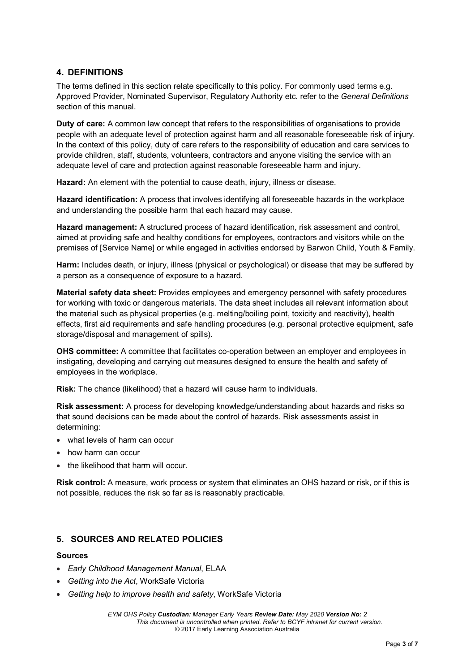### **4. DEFINITIONS**

The terms defined in this section relate specifically to this policy. For commonly used terms e.g. Approved Provider, Nominated Supervisor, Regulatory Authority etc. refer to the *General Definitions* section of this manual.

**Duty of care:** A common law concept that refers to the responsibilities of organisations to provide people with an adequate level of protection against harm and all reasonable foreseeable risk of injury. In the context of this policy, duty of care refers to the responsibility of education and care services to provide children, staff, students, volunteers, contractors and anyone visiting the service with an adequate level of care and protection against reasonable foreseeable harm and injury.

**Hazard:** An element with the potential to cause death, injury, illness or disease.

**Hazard identification:** A process that involves identifying all foreseeable hazards in the workplace and understanding the possible harm that each hazard may cause.

**Hazard management:** A structured process of hazard identification, risk assessment and control, aimed at providing safe and healthy conditions for employees, contractors and visitors while on the premises of [Service Name] or while engaged in activities endorsed by Barwon Child, Youth & Family.

**Harm:** Includes death, or injury, illness (physical or psychological) or disease that may be suffered by a person as a consequence of exposure to a hazard.

**Material safety data sheet:** Provides employees and emergency personnel with safety procedures for working with toxic or dangerous materials. The data sheet includes all relevant information about the material such as physical properties (e.g. melting/boiling point, toxicity and reactivity), health effects, first aid requirements and safe handling procedures (e.g. personal protective equipment, safe storage/disposal and management of spills).

**OHS committee:** A committee that facilitates co-operation between an employer and employees in instigating, developing and carrying out measures designed to ensure the health and safety of employees in the workplace.

**Risk:** The chance (likelihood) that a hazard will cause harm to individuals.

**Risk assessment:** A process for developing knowledge/understanding about hazards and risks so that sound decisions can be made about the control of hazards. Risk assessments assist in determining:

- what levels of harm can occur
- how harm can occur
- the likelihood that harm will occur.

**Risk control:** A measure, work process or system that eliminates an OHS hazard or risk, or if this is not possible, reduces the risk so far as is reasonably practicable.

### **5. SOURCES AND RELATED POLICIES**

#### **Sources**

- *Early Childhood Management Manual*, ELAA
- *Getting into the Act*, WorkSafe Victoria
- *Getting help to improve health and safety*, WorkSafe Victoria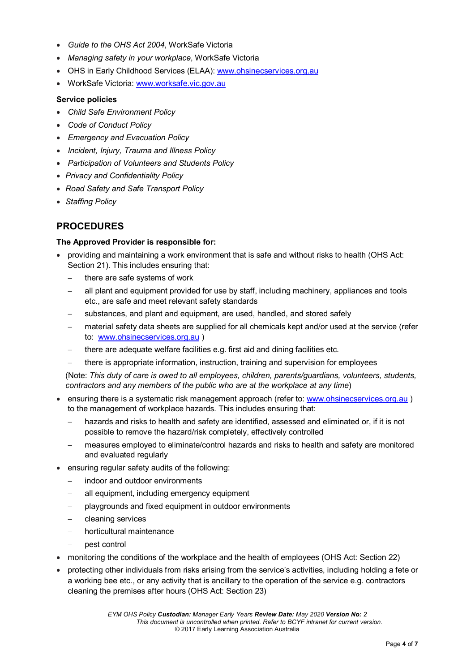- *Guide to the OHS Act 2004*, WorkSafe Victoria
- *Managing safety in your workplace*, WorkSafe Victoria
- OHS in Early Childhood Services (ELAA): [www.ohsinecservices.org.au](http://www.ohsinecservices.org.au/)
- WorkSafe Victoria: [www.worksafe.vic.gov.au](http://www.worksafe.vic.gov.au/)

#### **Service policies**

- *Child Safe Environment Policy*
- *Code of Conduct Policy*
- *Emergency and Evacuation Policy*
- *Incident, Injury, Trauma and Illness Policy*
- *Participation of Volunteers and Students Policy*
- *Privacy and Confidentiality Policy*
- *Road Safety and Safe Transport Policy*
- *Staffing Policy*

# **PROCEDURES**

#### **The Approved Provider is responsible for:**

- providing and maintaining a work environment that is safe and without risks to health (OHS Act: Section 21). This includes ensuring that:
	- there are safe systems of work
	- all plant and equipment provided for use by staff, including machinery, appliances and tools etc., are safe and meet relevant safety standards
	- substances, and plant and equipment, are used, handled, and stored safely
	- material safety data sheets are supplied for all chemicals kept and/or used at the service (refer to: [www.ohsinecservices.org.au](http://www.ohsinecservices.org.au/) )
	- there are adequate welfare facilities e.g. first aid and dining facilities etc.
	- there is appropriate information, instruction, training and supervision for employees

(Note: *This duty of care is owed to all employees, children, parents/guardians, volunteers, students, contractors and any members of the public who are at the workplace at any time*)

- ensuring there is a systematic risk management approach (refer to: [www.ohsinecservices.org.au](http://www.ohsinecservices.org.au/)) to the management of workplace hazards. This includes ensuring that:
	- hazards and risks to health and safety are identified, assessed and eliminated or, if it is not possible to remove the hazard/risk completely, effectively controlled
	- measures employed to eliminate/control hazards and risks to health and safety are monitored and evaluated regularly
- ensuring regular safety audits of the following:
	- − indoor and outdoor environments
	- all equipment, including emergency equipment
	- − playgrounds and fixed equipment in outdoor environments
	- − cleaning services
	- − horticultural maintenance
		- − pest control
- monitoring the conditions of the workplace and the health of employees (OHS Act: Section 22)
- protecting other individuals from risks arising from the service's activities, including holding a fete or a working bee etc., or any activity that is ancillary to the operation of the service e.g. contractors cleaning the premises after hours (OHS Act: Section 23)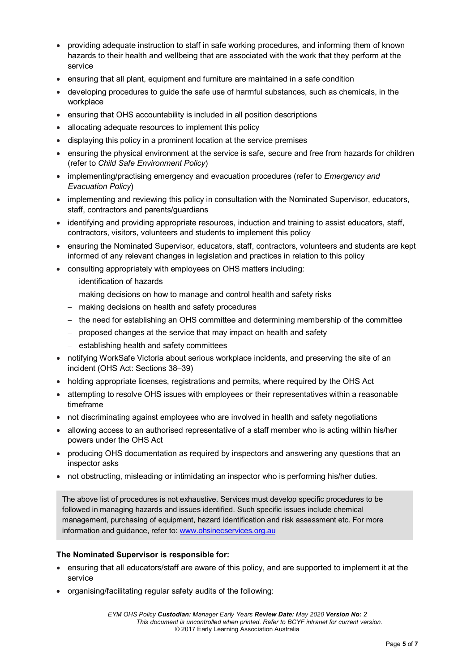- providing adequate instruction to staff in safe working procedures, and informing them of known hazards to their health and wellbeing that are associated with the work that they perform at the service
- ensuring that all plant, equipment and furniture are maintained in a safe condition
- developing procedures to guide the safe use of harmful substances, such as chemicals, in the workplace
- ensuring that OHS accountability is included in all position descriptions
- allocating adequate resources to implement this policy
- displaying this policy in a prominent location at the service premises
- ensuring the physical environment at the service is safe, secure and free from hazards for children (refer to *Child Safe Environment Policy*)
- implementing/practising emergency and evacuation procedures (refer to *Emergency and Evacuation Policy*)
- implementing and reviewing this policy in consultation with the Nominated Supervisor, educators, staff, contractors and parents/guardians
- identifying and providing appropriate resources, induction and training to assist educators, staff, contractors, visitors, volunteers and students to implement this policy
- ensuring the Nominated Supervisor, educators, staff, contractors, volunteers and students are kept informed of any relevant changes in legislation and practices in relation to this policy
- consulting appropriately with employees on OHS matters including:
	- − identification of hazards
	- − making decisions on how to manage and control health and safety risks
	- − making decisions on health and safety procedures
	- − the need for establishing an OHS committee and determining membership of the committee
	- − proposed changes at the service that may impact on health and safety
	- − establishing health and safety committees
- notifying WorkSafe Victoria about serious workplace incidents, and preserving the site of an incident (OHS Act: Sections 38–39)
- holding appropriate licenses, registrations and permits, where required by the OHS Act
- attempting to resolve OHS issues with employees or their representatives within a reasonable timeframe
- not discriminating against employees who are involved in health and safety negotiations
- allowing access to an authorised representative of a staff member who is acting within his/her powers under the OHS Act
- producing OHS documentation as required by inspectors and answering any questions that an inspector asks
- not obstructing, misleading or intimidating an inspector who is performing his/her duties.

The above list of procedures is not exhaustive. Services must develop specific procedures to be followed in managing hazards and issues identified. Such specific issues include chemical management, purchasing of equipment, hazard identification and risk assessment etc. For more information and guidance, refer to: [www.ohsinecservices.org.au](http://www.ohsinecservices.org.au/)

#### **The Nominated Supervisor is responsible for:**

- ensuring that all educators/staff are aware of this policy, and are supported to implement it at the service
- organising/facilitating regular safety audits of the following: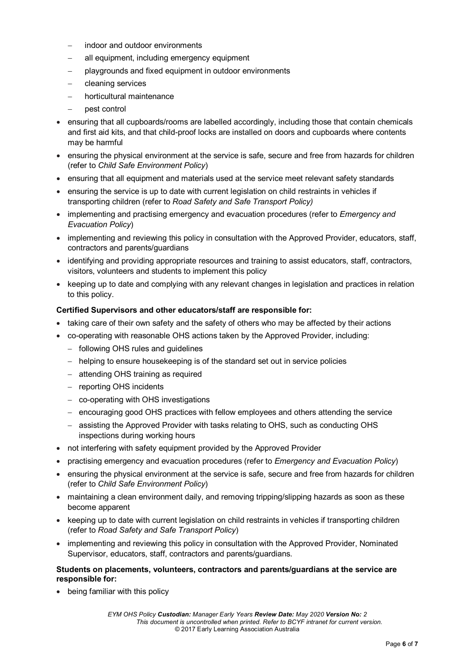- indoor and outdoor environments
- all equipment, including emergency equipment
- − playgrounds and fixed equipment in outdoor environments
- − cleaning services
- − horticultural maintenance
- − pest control
- ensuring that all cupboards/rooms are labelled accordingly, including those that contain chemicals and first aid kits, and that child-proof locks are installed on doors and cupboards where contents may be harmful
- ensuring the physical environment at the service is safe, secure and free from hazards for children (refer to *Child Safe Environment Policy*)
- ensuring that all equipment and materials used at the service meet relevant safety standards
- ensuring the service is up to date with current legislation on child restraints in vehicles if transporting children (refer to *Road Safety and Safe Transport Policy)*
- implementing and practising emergency and evacuation procedures (refer to *Emergency and Evacuation Policy*)
- implementing and reviewing this policy in consultation with the Approved Provider, educators, staff, contractors and parents/guardians
- identifying and providing appropriate resources and training to assist educators, staff, contractors, visitors, volunteers and students to implement this policy
- keeping up to date and complying with any relevant changes in legislation and practices in relation to this policy.

#### **Certified Supervisors and other educators/staff are responsible for:**

- taking care of their own safety and the safety of others who may be affected by their actions
- co-operating with reasonable OHS actions taken by the Approved Provider, including:
	- − following OHS rules and guidelines
	- − helping to ensure housekeeping is of the standard set out in service policies
	- − attending OHS training as required
	- − reporting OHS incidents
	- − co-operating with OHS investigations
	- − encouraging good OHS practices with fellow employees and others attending the service
	- − assisting the Approved Provider with tasks relating to OHS, such as conducting OHS inspections during working hours
- not interfering with safety equipment provided by the Approved Provider
- practising emergency and evacuation procedures (refer to *Emergency and Evacuation Policy*)
- ensuring the physical environment at the service is safe, secure and free from hazards for children (refer to *Child Safe Environment Policy*)
- maintaining a clean environment daily, and removing tripping/slipping hazards as soon as these become apparent
- keeping up to date with current legislation on child restraints in vehicles if transporting children (refer to *Road Safety and Safe Transport Policy*)
- implementing and reviewing this policy in consultation with the Approved Provider, Nominated Supervisor, educators, staff, contractors and parents/guardians.

#### **Students on placements, volunteers, contractors and parents/guardians at the service are responsible for:**

• being familiar with this policy